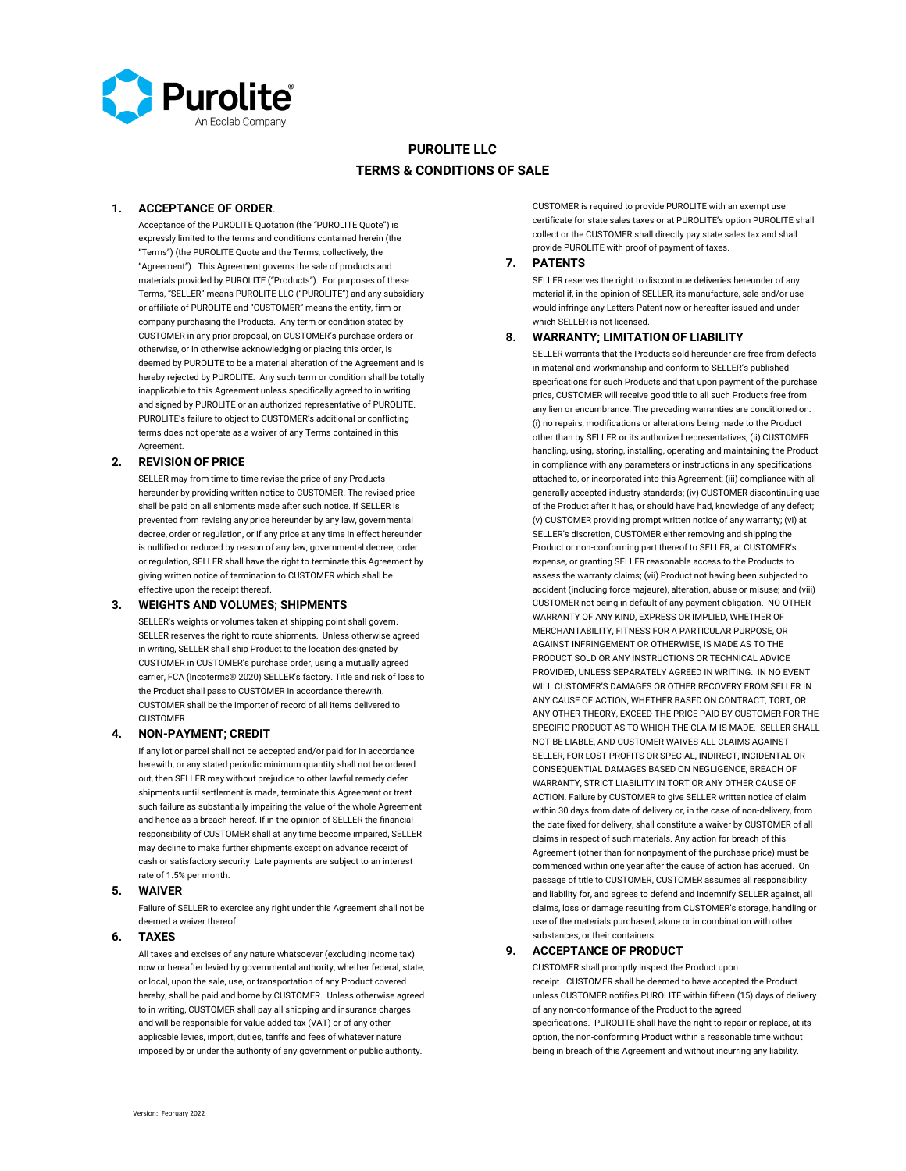

# **PUROLITE LLC TERMS & CONDITIONS OF SALE**

#### **1. ACCEPTANCE OF ORDER**.

Acceptance of the PUROLITE Quotation (the "PUROLITE Quote") is expressly limited to the terms and conditions contained herein (the "Terms") (the PUROLITE Quote and the Terms, collectively, the "Agreement"). This Agreement governs the sale of products and materials provided by PUROLITE ("Products"). For purposes of these Terms, "SELLER" means PUROLITE LLC ("PUROLITE") and any subsidiary or affiliate of PUROLITE and "CUSTOMER" means the entity, firm or company purchasing the Products. Any term or condition stated by CUSTOMER in any prior proposal, on CUSTOMER's purchase orders or otherwise, or in otherwise acknowledging or placing this order, is deemed by PUROLITE to be a material alteration of the Agreement and is hereby rejected by PUROLITE. Any such term or condition shall be totally inapplicable to this Agreement unless specifically agreed to in writing and signed by PUROLITE or an authorized representative of PUROLITE. PUROLITE's failure to object to CUSTOMER's additional or conflicting terms does not operate as a waiver of any Terms contained in this Agreement.

### **2. REVISION OF PRICE**

SELLER may from time to time revise the price of any Products hereunder by providing written notice to CUSTOMER. The revised price shall be paid on all shipments made after such notice. If SELLER is prevented from revising any price hereunder by any law, governmental decree, order or regulation, or if any price at any time in effect hereunder is nullified or reduced by reason of any law, governmental decree, order or regulation, SELLER shall have the right to terminate this Agreement by giving written notice of termination to CUSTOMER which shall be effective upon the receipt thereof.

#### **3. WEIGHTS AND VOLUMES; SHIPMENTS**

SELLER's weights or volumes taken at shipping point shall govern. SELLER reserves the right to route shipments. Unless otherwise agreed in writing, SELLER shall ship Product to the location designated by CUSTOMER in CUSTOMER's purchase order, using a mutually agreed carrier, FCA (Incoterms® 2020) SELLER's factory. Title and risk of loss to the Product shall pass to CUSTOMER in accordance therewith. CUSTOMER shall be the importer of record of all items delivered to **CUSTOMER** 

#### **4. NON-PAYMENT; CREDIT**

If any lot or parcel shall not be accepted and/or paid for in accordance herewith, or any stated periodic minimum quantity shall not be ordered out, then SELLER may without prejudice to other lawful remedy defer shipments until settlement is made, terminate this Agreement or treat such failure as substantially impairing the value of the whole Agreement and hence as a breach hereof. If in the opinion of SELLER the financial responsibility of CUSTOMER shall at any time become impaired, SELLER may decline to make further shipments except on advance receipt of cash or satisfactory security. Late payments are subject to an interest rate of 1.5% per month.

#### **5. WAIVER**

Failure of SELLER to exercise any right under this Agreement shall not be deemed a waiver thereof.

### **6. TAXES**

All taxes and excises of any nature whatsoever (excluding income tax) now or hereafter levied by governmental authority, whether federal, state, or local, upon the sale, use, or transportation of any Product covered hereby, shall be paid and borne by CUSTOMER. Unless otherwise agreed to in writing, CUSTOMER shall pay all shipping and insurance charges and will be responsible for value added tax (VAT) or of any other applicable levies, import, duties, tariffs and fees of whatever nature imposed by or under the authority of any government or public authority.

CUSTOMER is required to provide PUROLITE with an exempt use certificate for state sales taxes or at PUROLITE's option PUROLITE shall collect or the CUSTOMER shall directly pay state sales tax and shall provide PUROLITE with proof of payment of taxes.

## **7. PATENTS**

SELLER reserves the right to discontinue deliveries hereunder of any material if, in the opinion of SELLER, its manufacture, sale and/or use would infringe any Letters Patent now or hereafter issued and under which SELLER is not licensed.

#### **8. WARRANTY; LIMITATION OF LIABILITY**

SELLER warrants that the Products sold hereunder are free from defects in material and workmanship and conform to SELLER's published specifications for such Products and that upon payment of the purchase price, CUSTOMER will receive good title to all such Products free from any lien or encumbrance. The preceding warranties are conditioned on: (i) no repairs, modifications or alterations being made to the Product other than by SELLER or its authorized representatives; (ii) CUSTOMER handling, using, storing, installing, operating and maintaining the Product in compliance with any parameters or instructions in any specifications attached to, or incorporated into this Agreement; (iii) compliance with all generally accepted industry standards; (iv) CUSTOMER discontinuing use of the Product after it has, or should have had, knowledge of any defect; (v) CUSTOMER providing prompt written notice of any warranty; (vi) at SELLER's discretion, CUSTOMER either removing and shipping the Product or non-conforming part thereof to SELLER, at CUSTOMER's expense, or granting SELLER reasonable access to the Products to assess the warranty claims; (vii) Product not having been subjected to accident (including force majeure), alteration, abuse or misuse; and (viii) CUSTOMER not being in default of any payment obligation. NO OTHER WARRANTY OF ANY KIND, EXPRESS OR IMPLIED, WHETHER OF MERCHANTABILITY, FITNESS FOR A PARTICULAR PURPOSE, OR AGAINST INFRINGEMENT OR OTHERWISE, IS MADE AS TO THE PRODUCT SOLD OR ANY INSTRUCTIONS OR TECHNICAL ADVICE PROVIDED, UNLESS SEPARATELY AGREED IN WRITING. IN NO EVENT WILL CUSTOMER'S DAMAGES OR OTHER RECOVERY FROM SELLER IN ANY CAUSE OF ACTION, WHETHER BASED ON CONTRACT, TORT, OR ANY OTHER THEORY, EXCEED THE PRICE PAID BY CUSTOMER FOR THE SPECIFIC PRODUCT AS TO WHICH THE CLAIM IS MADE. SELLER SHALL NOT BE LIABLE, AND CUSTOMER WAIVES ALL CLAIMS AGAINST SELLER, FOR LOST PROFITS OR SPECIAL, INDIRECT, INCIDENTAL OR CONSEQUENTIAL DAMAGES BASED ON NEGLIGENCE, BREACH OF WARRANTY, STRICT LIABILITY IN TORT OR ANY OTHER CAUSE OF ACTION. Failure by CUSTOMER to give SELLER written notice of claim within 30 days from date of delivery or, in the case of non-delivery, from the date fixed for delivery, shall constitute a waiver by CUSTOMER of all claims in respect of such materials. Any action for breach of this Agreement (other than for nonpayment of the purchase price) must be commenced within one year after the cause of action has accrued. On passage of title to CUSTOMER, CUSTOMER assumes all responsibility and liability for, and agrees to defend and indemnify SELLER against, all claims, loss or damage resulting from CUSTOMER's storage, handling or use of the materials purchased, alone or in combination with other substances, or their containers.

## **9. ACCEPTANCE OF PRODUCT**

CUSTOMER shall promptly inspect the Product upon receipt. CUSTOMER shall be deemed to have accepted the Product unless CUSTOMER notifies PUROLITE within fifteen (15) days of delivery of any non-conformance of the Product to the agreed specifications. PUROLITE shall have the right to repair or replace, at its option, the non-conforming Product within a reasonable time without being in breach of this Agreement and without incurring any liability.